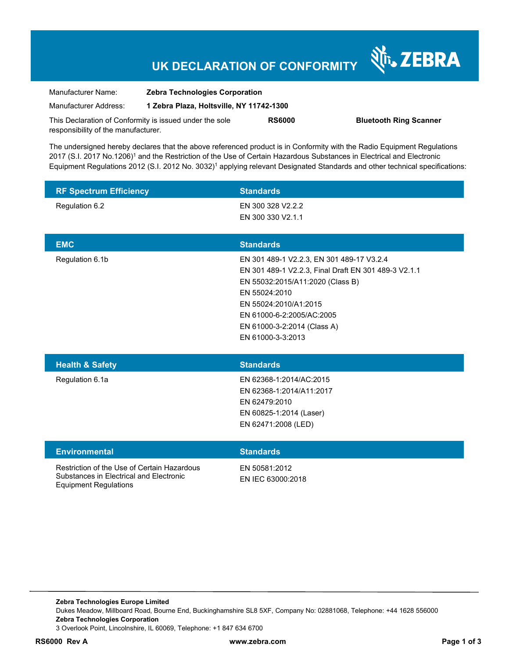# **UK DECLARATION OF CONFORMITY**

Nr. ZEBRA

| Manufacturer Name:                                      | <b>Zebra Technologies Corporation</b><br>1 Zebra Plaza. Holtsville. NY 11742-1300 |               |                               |
|---------------------------------------------------------|-----------------------------------------------------------------------------------|---------------|-------------------------------|
| Manufacturer Address:                                   |                                                                                   |               |                               |
| This Declaration of Conformity is issued under the sole |                                                                                   | <b>RS6000</b> | <b>Bluetooth Ring Scanner</b> |
| responsibility of the manufacturer.                     |                                                                                   |               |                               |

The undersigned hereby declares that the above referenced product is in Conformity with the Radio Equipment Regulations 2017 (S.I. 2017 No.1206)<sup>1</sup> and the Restriction of the Use of Certain Hazardous Substances in Electrical and Electronic Equipment Regulations 2012 (S.I. 2012 No. 3032)<sup>1</sup> applying relevant Designated Standards and other technical specifications:

| <b>RF Spectrum Efficiency</b>                                                                                          | <b>Standards</b>                                                                                                                                                                                                                                                 |  |
|------------------------------------------------------------------------------------------------------------------------|------------------------------------------------------------------------------------------------------------------------------------------------------------------------------------------------------------------------------------------------------------------|--|
| Regulation 6.2                                                                                                         | EN 300 328 V2.2.2<br>EN 300 330 V2.1.1                                                                                                                                                                                                                           |  |
| <b>EMC</b>                                                                                                             | <b>Standards</b>                                                                                                                                                                                                                                                 |  |
| Regulation 6.1b                                                                                                        | EN 301 489-1 V2.2.3, EN 301 489-17 V3.2.4<br>EN 301 489-1 V2.2.3, Final Draft EN 301 489-3 V2.1.1<br>EN 55032:2015/A11:2020 (Class B)<br>EN 55024:2010<br>EN 55024:2010/A1:2015<br>EN 61000-6-2:2005/AC:2005<br>EN 61000-3-2:2014 (Class A)<br>EN 61000-3-3:2013 |  |
| <b>Health &amp; Safety</b>                                                                                             | <b>Standards</b>                                                                                                                                                                                                                                                 |  |
| Regulation 6.1a                                                                                                        | EN 62368-1:2014/AC:2015<br>EN 62368-1:2014/A11:2017<br>EN 62479:2010<br>EN 60825-1:2014 (Laser)<br>EN 62471:2008 (LED)                                                                                                                                           |  |
| <b>Environmental</b>                                                                                                   | <b>Standards</b>                                                                                                                                                                                                                                                 |  |
| Restriction of the Use of Certain Hazardous<br>Substances in Electrical and Electronic<br><b>Equipment Regulations</b> | EN 50581:2012<br>EN IEC 63000:2018                                                                                                                                                                                                                               |  |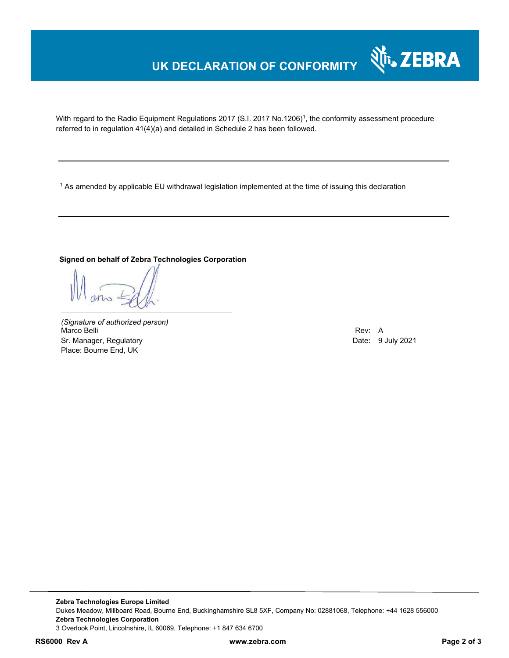### **UK DECLARATION OF CONFORMITY**

With regard to the Radio Equipment Regulations 2017 (S.I. 2017 No.1206)<sup>1</sup>, the conformity assessment procedure referred to in regulation 41(4)(a) and detailed in Schedule 2 has been followed.

 $^{\rm 1}$  As amended by applicable EU withdrawal legislation implemented at the time of issuing this declaration

#### **Signed on behalf of Zebra Technologies Corporation**

*(Signature of authorized person)* Marco Belli Rev: A Sr. Manager, Regulatory Date: 9 July 2021 Place: Bourne End, UK

Nr. ZEBRA